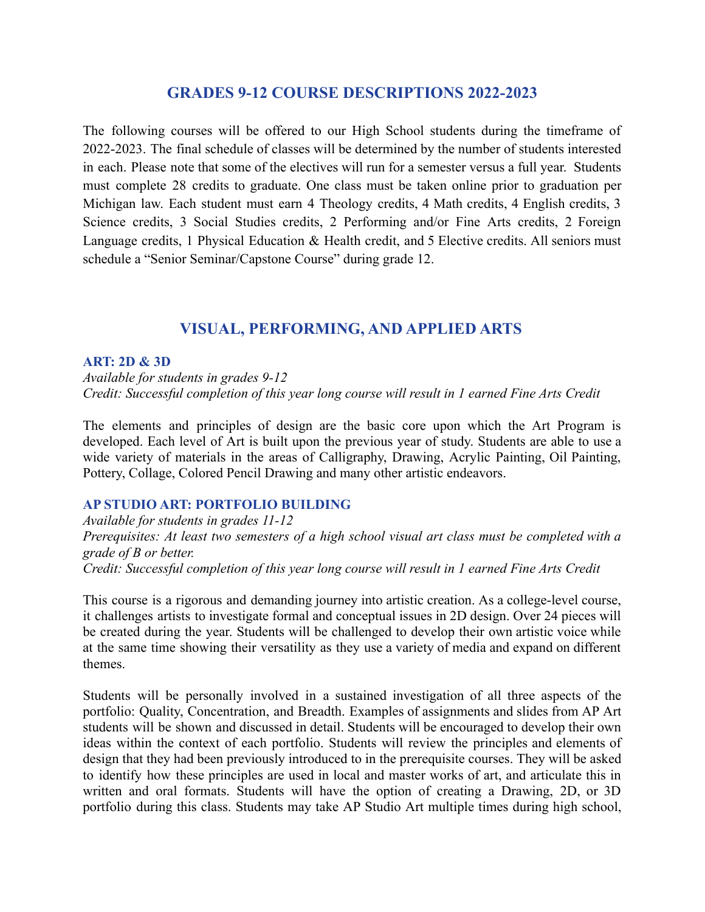# **GRADES 9-12 COURSE DESCRIPTIONS 2022-2023**

The following courses will be offered to our High School students during the timeframe of 2022-2023. The final schedule of classes will be determined by the number of students interested in each. Please note that some of the electives will run for a semester versus a full year. Students must complete 28 credits to graduate. One class must be taken online prior to graduation per Michigan law. Each student must earn 4 Theology credits, 4 Math credits, 4 English credits, 3 Science credits, 3 Social Studies credits, 2 Performing and/or Fine Arts credits, 2 Foreign Language credits, 1 Physical Education & Health credit, and 5 Elective credits. All seniors must schedule a "Senior Seminar/Capstone Course" during grade 12.

# **VISUAL, PERFORMING, AND APPLIED ARTS**

### **ART: 2D & 3D**

*Available for students in grades 9-12 Credit: Successful completion of this year long course will result in 1 earned Fine Arts Credit*

The elements and principles of design are the basic core upon which the Art Program is developed. Each level of Art is built upon the previous year of study. Students are able to use a wide variety of materials in the areas of Calligraphy, Drawing, Acrylic Painting, Oil Painting, Pottery, Collage, Colored Pencil Drawing and many other artistic endeavors.

### **AP STUDIO ART: PORTFOLIO BUILDING**

*Available for students in grades 11-12 Prerequisites: At least two semesters of a high school visual art class must be completed with a grade of B or better. Credit: Successful completion of this year long course will result in 1 earned Fine Arts Credit*

This course is a rigorous and demanding journey into artistic creation. As a college-level course, it challenges artists to investigate formal and conceptual issues in 2D design. Over 24 pieces will be created during the year. Students will be challenged to develop their own artistic voice while at the same time showing their versatility as they use a variety of media and expand on different themes.

Students will be personally involved in a sustained investigation of all three aspects of the portfolio: Quality, Concentration, and Breadth. Examples of assignments and slides from AP Art students will be shown and discussed in detail. Students will be encouraged to develop their own ideas within the context of each portfolio. Students will review the principles and elements of design that they had been previously introduced to in the prerequisite courses. They will be asked to identify how these principles are used in local and master works of art, and articulate this in written and oral formats. Students will have the option of creating a Drawing, 2D, or 3D portfolio during this class. Students may take AP Studio Art multiple times during high school,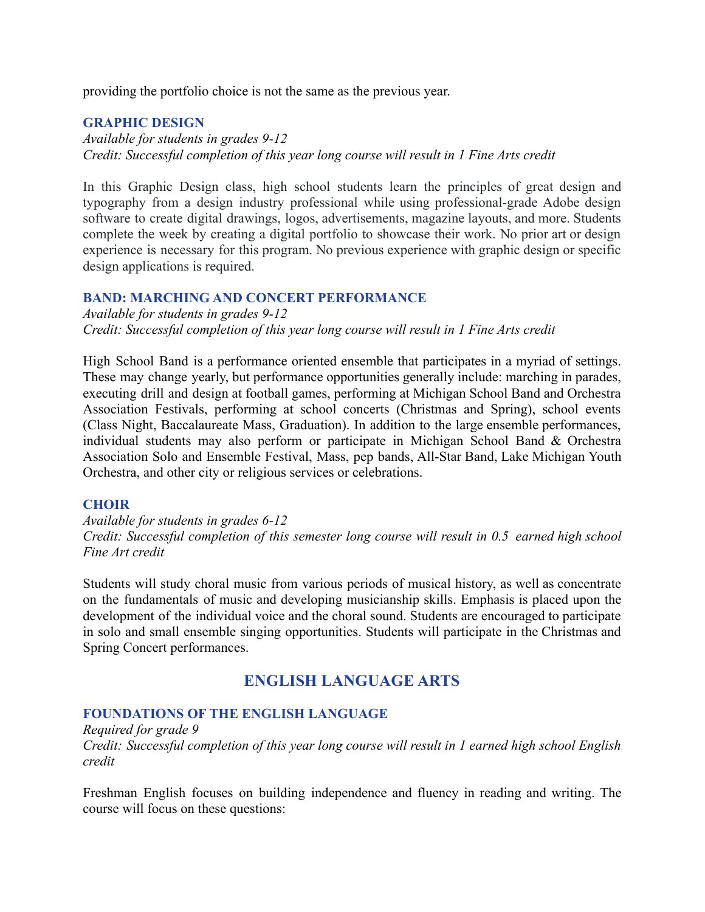providing the portfolio choice is not the same as the previous year.

# **GRAPHIC DESIGN**

*Available for students in grades 9-12 Credit: Successful completion of this year long course will result in 1 Fine Arts credit*

In this Graphic Design class, high school students learn the principles of great design and typography from a design industry professional while using professional-grade Adobe design software to create digital drawings, logos, advertisements, magazine layouts, and more. Students complete the week by creating a digital portfolio to showcase their work. No prior art or design experience is necessary for this program. No previous experience with graphic design or specific design applications is required.

### **BAND: MARCHING AND CONCERT PERFORMANCE**

*Available for students in grades 9-12 Credit: Successful completion of this year long course will result in 1 Fine Arts credit*

High School Band is a performance oriented ensemble that participates in a myriad of settings. These may change yearly, but performance opportunities generally include: marching in parades, executing drill and design at football games, performing at Michigan School Band and Orchestra Association Festivals, performing at school concerts (Christmas and Spring), school events (Class Night, Baccalaureate Mass, Graduation). In addition to the large ensemble performances, individual students may also perform or participate in Michigan School Band & Orchestra Association Solo and Ensemble Festival, Mass, pep bands, All-Star Band, Lake Michigan Youth Orchestra, and other city or religious services or celebrations.

### **CHOIR**

*Available for students in grades 6-12 Credit: Successful completion of this semester long course will result in 0.5 earned high school Fine Art credit*

Students will study choral music from various periods of musical history, as well as concentrate on the fundamentals of music and developing musicianship skills. Emphasis is placed upon the development of the individual voice and the choral sound. Students are encouraged to participate in solo and small ensemble singing opportunities. Students will participate in the Christmas and Spring Concert performances.

# **ENGLISH LANGUAGE ARTS**

### **FOUNDATIONS OF THE ENGLISH LANGUAGE**

*Required for grade 9 Credit: Successful completion of this year long course will result in 1 earned high school English credit*

Freshman English focuses on building independence and fluency in reading and writing. The course will focus on these questions: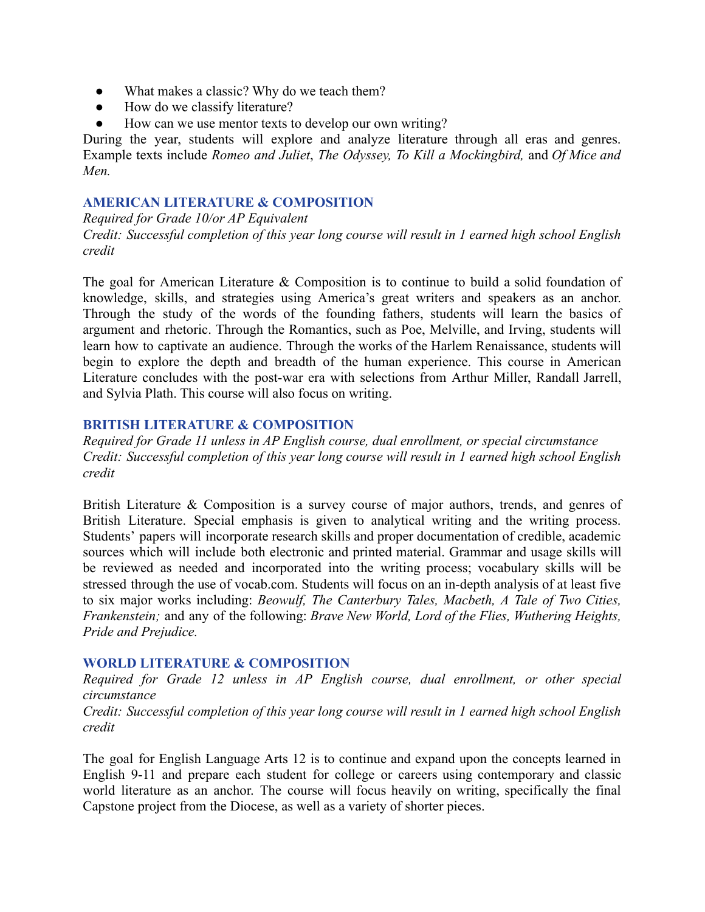- What makes a classic? Why do we teach them?
- How do we classify literature?
- How can we use mentor texts to develop our own writing?

During the year, students will explore and analyze literature through all eras and genres. Example texts include *Romeo and Juliet*, *The Odyssey, To Kill a Mockingbird,* and *Of Mice and Men.*

# **AMERICAN LITERATURE & COMPOSITION**

*Required for Grade 10/or AP Equivalent*

*Credit: Successful completion of this year long course will result in 1 earned high school English credit*

The goal for American Literature & Composition is to continue to build a solid foundation of knowledge, skills, and strategies using America's great writers and speakers as an anchor. Through the study of the words of the founding fathers, students will learn the basics of argument and rhetoric. Through the Romantics, such as Poe, Melville, and Irving, students will learn how to captivate an audience. Through the works of the Harlem Renaissance, students will begin to explore the depth and breadth of the human experience. This course in American Literature concludes with the post-war era with selections from Arthur Miller, Randall Jarrell, and Sylvia Plath. This course will also focus on writing.

## **BRITISH LITERATURE & COMPOSITION**

*Required for Grade 11 unless in AP English course, dual enrollment, or special circumstance Credit: Successful completion of this year long course will result in 1 earned high school English credit*

British Literature & Composition is a survey course of major authors, trends, and genres of British Literature. Special emphasis is given to analytical writing and the writing process. Students' papers will incorporate research skills and proper documentation of credible, academic sources which will include both electronic and printed material. Grammar and usage skills will be reviewed as needed and incorporated into the writing process; vocabulary skills will be stressed through the use of vocab.com. Students will focus on an in-depth analysis of at least five to six major works including: *Beowulf, The Canterbury Tales, Macbeth, A Tale of Two Cities, Frankenstein;* and any of the following: *Brave New World, Lord of the Flies, Wuthering Heights, Pride and Prejudice.*

### **WORLD LITERATURE & COMPOSITION**

*Required for Grade 12 unless in AP English course, dual enrollment, or other special circumstance*

*Credit: Successful completion of this year long course will result in 1 earned high school English credit*

The goal for English Language Arts 12 is to continue and expand upon the concepts learned in English 9-11 and prepare each student for college or careers using contemporary and classic world literature as an anchor. The course will focus heavily on writing, specifically the final Capstone project from the Diocese, as well as a variety of shorter pieces.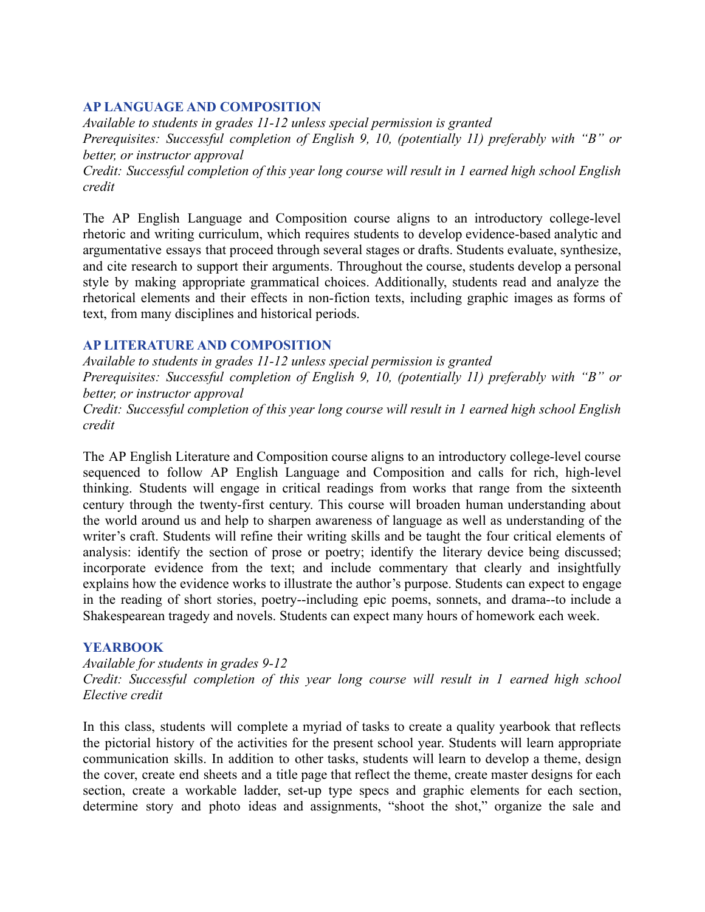# **AP LANGUAGE AND COMPOSITION**

*Available to students in grades 11-12 unless special permission is granted Prerequisites: Successful completion of English 9, 10, (potentially 11) preferably with "B" or better, or instructor approval Credit: Successful completion of this year long course will result in 1 earned high school English credit*

The AP English Language and Composition course aligns to an introductory college-level rhetoric and writing curriculum, which requires students to develop evidence-based analytic and argumentative essays that proceed through several stages or drafts. Students evaluate, synthesize, and cite research to support their arguments. Throughout the course, students develop a personal style by making appropriate grammatical choices. Additionally, students read and analyze the rhetorical elements and their effects in non-fiction texts, including graphic images as forms of text, from many disciplines and historical periods.

# **AP LITERATURE AND COMPOSITION**

*Available to students in grades 11-12 unless special permission is granted Prerequisites: Successful completion of English 9, 10, (potentially 11) preferably with "B" or better, or instructor approval Credit: Successful completion of this year long course will result in 1 earned high school English*

*credit*

The AP English Literature and Composition course aligns to an introductory college-level course sequenced to follow AP English Language and Composition and calls for rich, high-level thinking. Students will engage in critical readings from works that range from the sixteenth century through the twenty-first century. This course will broaden human understanding about the world around us and help to sharpen awareness of language as well as understanding of the writer's craft. Students will refine their writing skills and be taught the four critical elements of analysis: identify the section of prose or poetry; identify the literary device being discussed; incorporate evidence from the text; and include commentary that clearly and insightfully explains how the evidence works to illustrate the author's purpose. Students can expect to engage in the reading of short stories, poetry--including epic poems, sonnets, and drama--to include a Shakespearean tragedy and novels. Students can expect many hours of homework each week.

### **YEARBOOK**

### *Available for students in grades 9-12*

*Credit: Successful completion of this year long course will result in 1 earned high school Elective credit*

In this class, students will complete a myriad of tasks to create a quality yearbook that reflects the pictorial history of the activities for the present school year. Students will learn appropriate communication skills. In addition to other tasks, students will learn to develop a theme, design the cover, create end sheets and a title page that reflect the theme, create master designs for each section, create a workable ladder, set-up type specs and graphic elements for each section, determine story and photo ideas and assignments, "shoot the shot," organize the sale and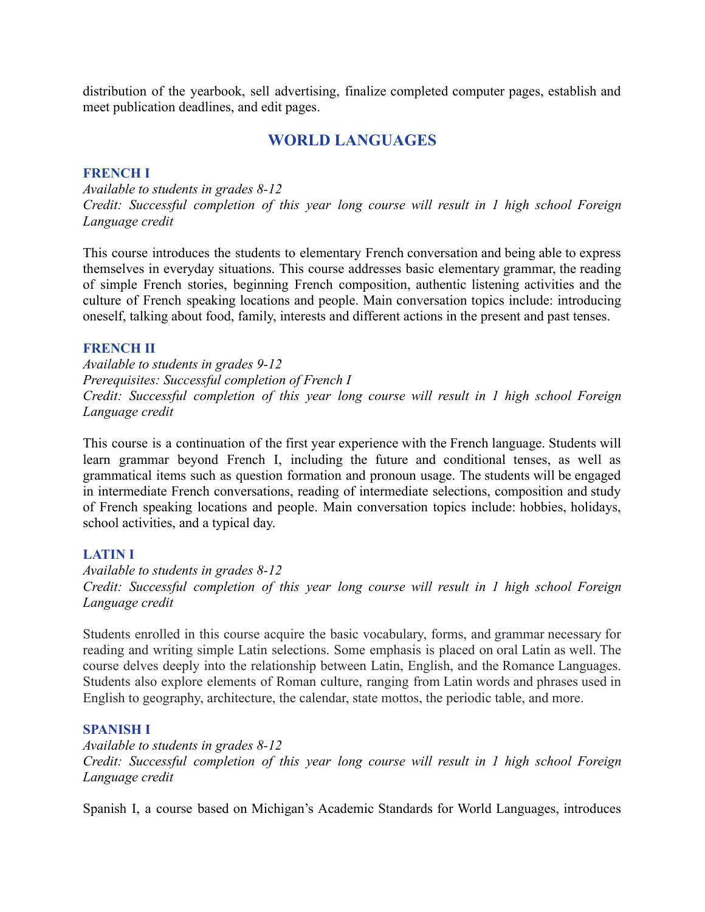distribution of the yearbook, sell advertising, finalize completed computer pages, establish and meet publication deadlines, and edit pages.

# **WORLD LANGUAGES**

### **FRENCH I**

*Available to students in grades 8-12 Credit: Successful completion of this year long course will result in 1 high school Foreign Language credit*

This course introduces the students to elementary French conversation and being able to express themselves in everyday situations. This course addresses basic elementary grammar, the reading of simple French stories, beginning French composition, authentic listening activities and the culture of French speaking locations and people. Main conversation topics include: introducing oneself, talking about food, family, interests and different actions in the present and past tenses.

### **FRENCH II**

*Available to students in grades 9-12 Prerequisites: Successful completion of French I Credit: Successful completion of this year long course will result in 1 high school Foreign Language credit*

This course is a continuation of the first year experience with the French language. Students will learn grammar beyond French I, including the future and conditional tenses, as well as grammatical items such as question formation and pronoun usage. The students will be engaged in intermediate French conversations, reading of intermediate selections, composition and study of French speaking locations and people. Main conversation topics include: hobbies, holidays, school activities, and a typical day.

### **LATIN I**

*Available to students in grades 8-12 Credit: Successful completion of this year long course will result in 1 high school Foreign Language credit*

Students enrolled in this course acquire the basic vocabulary, forms, and grammar necessary for reading and writing simple Latin selections. Some emphasis is placed on oral Latin as well. The course delves deeply into the relationship between Latin, English, and the Romance Languages. Students also explore elements of Roman culture, ranging from Latin words and phrases used in English to geography, architecture, the calendar, state mottos, the periodic table, and more.

### **SPANISH I**

*Available to students in grades 8-12 Credit: Successful completion of this year long course will result in 1 high school Foreign Language credit*

Spanish I, a course based on Michigan's Academic Standards for World Languages, introduces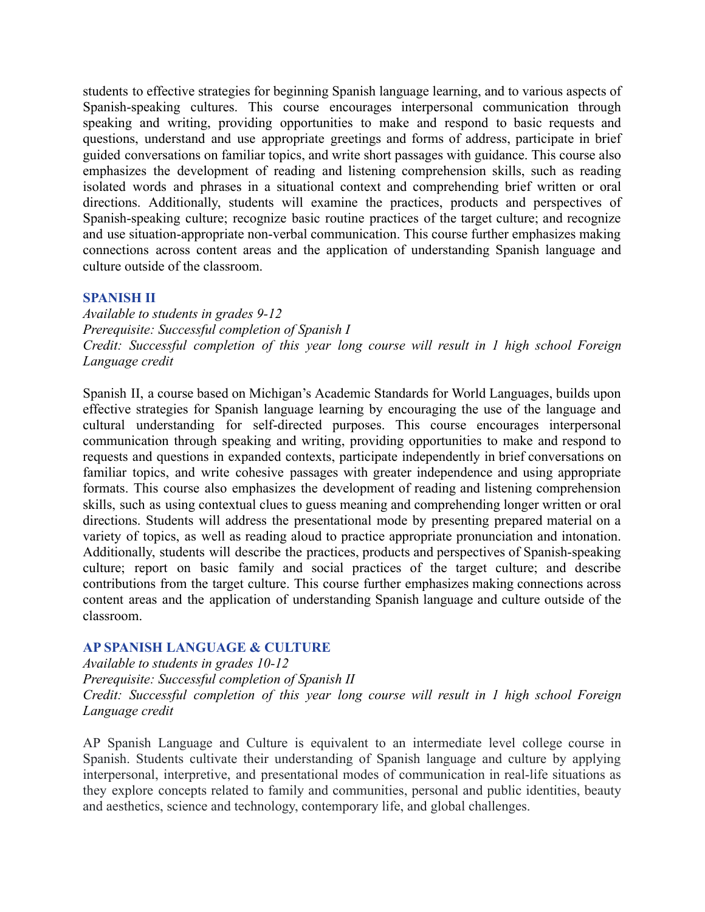students to effective strategies for beginning Spanish language learning, and to various aspects of Spanish-speaking cultures. This course encourages interpersonal communication through speaking and writing, providing opportunities to make and respond to basic requests and questions, understand and use appropriate greetings and forms of address, participate in brief guided conversations on familiar topics, and write short passages with guidance. This course also emphasizes the development of reading and listening comprehension skills, such as reading isolated words and phrases in a situational context and comprehending brief written or oral directions. Additionally, students will examine the practices, products and perspectives of Spanish-speaking culture; recognize basic routine practices of the target culture; and recognize and use situation-appropriate non-verbal communication. This course further emphasizes making connections across content areas and the application of understanding Spanish language and culture outside of the classroom.

### **SPANISH II**

*Available to students in grades 9-12 Prerequisite: Successful completion of Spanish I Credit: Successful completion of this year long course will result in 1 high school Foreign Language credit*

Spanish II, a course based on Michigan's Academic Standards for World Languages, builds upon effective strategies for Spanish language learning by encouraging the use of the language and cultural understanding for self-directed purposes. This course encourages interpersonal communication through speaking and writing, providing opportunities to make and respond to requests and questions in expanded contexts, participate independently in brief conversations on familiar topics, and write cohesive passages with greater independence and using appropriate formats. This course also emphasizes the development of reading and listening comprehension skills, such as using contextual clues to guess meaning and comprehending longer written or oral directions. Students will address the presentational mode by presenting prepared material on a variety of topics, as well as reading aloud to practice appropriate pronunciation and intonation. Additionally, students will describe the practices, products and perspectives of Spanish-speaking culture; report on basic family and social practices of the target culture; and describe contributions from the target culture. This course further emphasizes making connections across content areas and the application of understanding Spanish language and culture outside of the classroom.

### **AP SPANISH LANGUAGE & CULTURE**

*Available to students in grades 10-12*

*Prerequisite: Successful completion of Spanish II*

*Credit: Successful completion of this year long course will result in 1 high school Foreign Language credit*

AP Spanish Language and Culture is equivalent to an intermediate level college course in Spanish. Students cultivate their understanding of Spanish language and culture by applying interpersonal, interpretive, and presentational modes of communication in real-life situations as they explore concepts related to family and communities, personal and public identities, beauty and aesthetics, science and technology, contemporary life, and global challenges.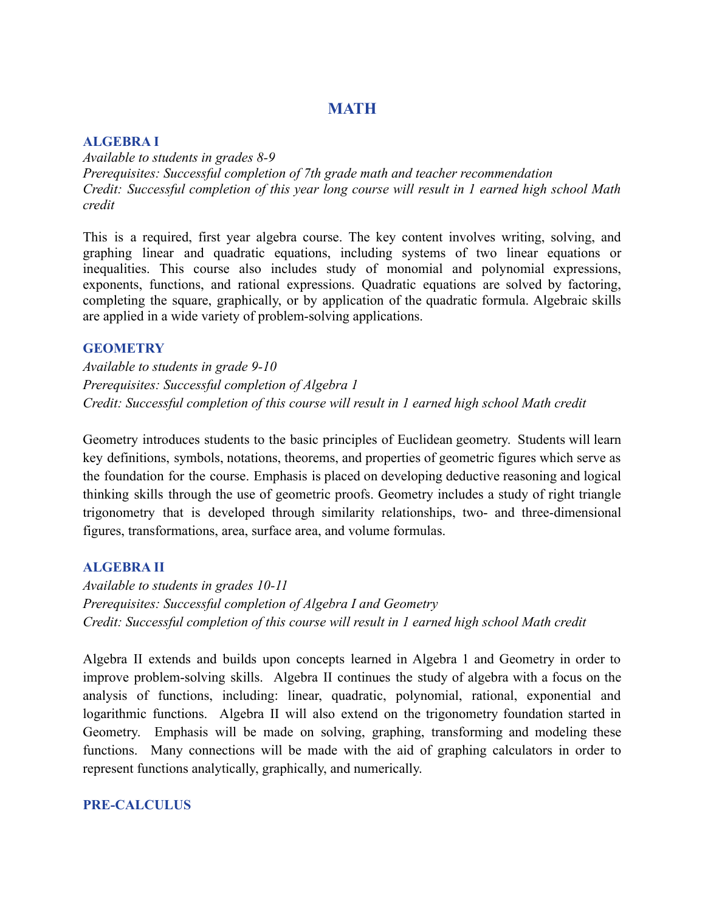# **MATH**

### **ALGEBRA I**

*Available to students in grades 8-9 Prerequisites: Successful completion of 7th grade math and teacher recommendation Credit: Successful completion of this year long course will result in 1 earned high school Math credit*

This is a required, first year algebra course. The key content involves writing, solving, and graphing linear and quadratic equations, including systems of two linear equations or inequalities. This course also includes study of monomial and polynomial expressions, exponents, functions, and rational expressions. Quadratic equations are solved by factoring, completing the square, graphically, or by application of the quadratic formula. Algebraic skills are applied in a wide variety of problem-solving applications.

### **GEOMETRY**

*Available to students in grade 9-10 Prerequisites: Successful completion of Algebra 1 Credit: Successful completion of this course will result in 1 earned high school Math credit*

Geometry introduces students to the basic principles of Euclidean geometry. Students will learn key definitions, symbols, notations, theorems, and properties of geometric figures which serve as the foundation for the course. Emphasis is placed on developing deductive reasoning and logical thinking skills through the use of geometric proofs. Geometry includes a study of right triangle trigonometry that is developed through similarity relationships, two- and three-dimensional figures, transformations, area, surface area, and volume formulas.

### **ALGEBRA II**

*Available to students in grades 10-11 Prerequisites: Successful completion of Algebra I and Geometry Credit: Successful completion of this course will result in 1 earned high school Math credit*

Algebra II extends and builds upon concepts learned in Algebra 1 and Geometry in order to improve problem-solving skills. Algebra II continues the study of algebra with a focus on the analysis of functions, including: linear, quadratic, polynomial, rational, exponential and logarithmic functions. Algebra II will also extend on the trigonometry foundation started in Geometry. Emphasis will be made on solving, graphing, transforming and modeling these functions. Many connections will be made with the aid of graphing calculators in order to represent functions analytically, graphically, and numerically.

### **PRE-CALCULUS**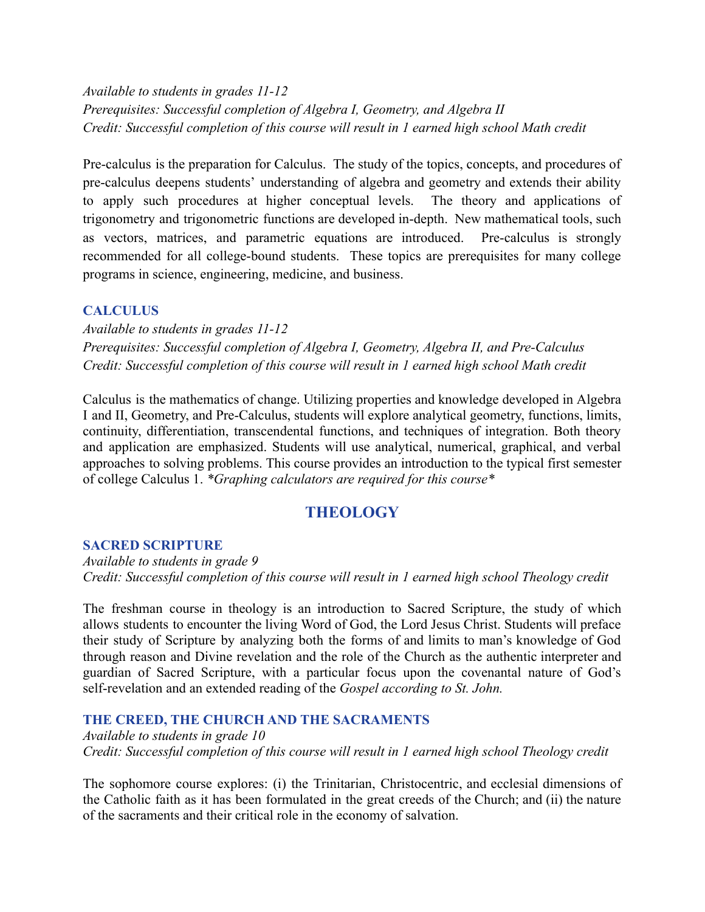*Available to students in grades 11-12 Prerequisites: Successful completion of Algebra I, Geometry, and Algebra II Credit: Successful completion of this course will result in 1 earned high school Math credit*

Pre-calculus is the preparation for Calculus. The study of the topics, concepts, and procedures of pre-calculus deepens students' understanding of algebra and geometry and extends their ability to apply such procedures at higher conceptual levels. The theory and applications of trigonometry and trigonometric functions are developed in-depth. New mathematical tools, such as vectors, matrices, and parametric equations are introduced. Pre-calculus is strongly recommended for all college-bound students. These topics are prerequisites for many college programs in science, engineering, medicine, and business.

## **CALCULUS**

*Available to students in grades 11-12 Prerequisites: Successful completion of Algebra I, Geometry, Algebra II, and Pre-Calculus Credit: Successful completion of this course will result in 1 earned high school Math credit*

Calculus is the mathematics of change. Utilizing properties and knowledge developed in Algebra I and II, Geometry, and Pre-Calculus, students will explore analytical geometry, functions, limits, continuity, differentiation, transcendental functions, and techniques of integration. Both theory and application are emphasized. Students will use analytical, numerical, graphical, and verbal approaches to solving problems. This course provides an introduction to the typical first semester of college Calculus 1. *\*Graphing calculators are required for this course\**

# **THEOLOGY**

## **SACRED SCRIPTURE**

*Available to students in grade 9 Credit: Successful completion of this course will result in 1 earned high school Theology credit*

The freshman course in theology is an introduction to Sacred Scripture, the study of which allows students to encounter the living Word of God, the Lord Jesus Christ. Students will preface their study of Scripture by analyzing both the forms of and limits to man's knowledge of God through reason and Divine revelation and the role of the Church as the authentic interpreter and guardian of Sacred Scripture, with a particular focus upon the covenantal nature of God's self-revelation and an extended reading of the *Gospel according to St. John.*

#### **THE CREED, THE CHURCH AND THE SACRAMENTS**

*Available to students in grade 10 Credit: Successful completion of this course will result in 1 earned high school Theology credit*

The sophomore course explores: (i) the Trinitarian, Christocentric, and ecclesial dimensions of the Catholic faith as it has been formulated in the great creeds of the Church; and (ii) the nature of the sacraments and their critical role in the economy of salvation.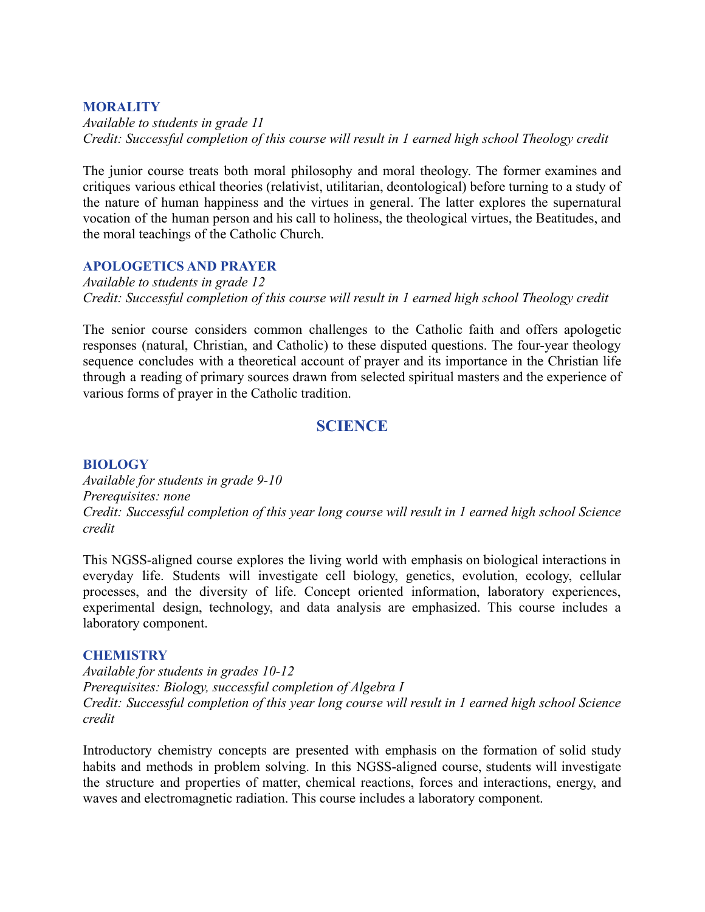### **MORALITY**

*Available to students in grade 11 Credit: Successful completion of this course will result in 1 earned high school Theology credit*

The junior course treats both moral philosophy and moral theology. The former examines and critiques various ethical theories (relativist, utilitarian, deontological) before turning to a study of the nature of human happiness and the virtues in general. The latter explores the supernatural vocation of the human person and his call to holiness, the theological virtues, the Beatitudes, and the moral teachings of the Catholic Church.

## **APOLOGETICS AND PRAYER**

*Available to students in grade 12 Credit: Successful completion of this course will result in 1 earned high school Theology credit*

The senior course considers common challenges to the Catholic faith and offers apologetic responses (natural, Christian, and Catholic) to these disputed questions. The four-year theology sequence concludes with a theoretical account of prayer and its importance in the Christian life through a reading of primary sources drawn from selected spiritual masters and the experience of various forms of prayer in the Catholic tradition.

# **SCIENCE**

### **BIOLOGY**

*Available for students in grade 9-10 Prerequisites: none Credit: Successful completion of this year long course will result in 1 earned high school Science credit*

This NGSS-aligned course explores the living world with emphasis on biological interactions in everyday life. Students will investigate cell biology, genetics, evolution, ecology, cellular processes, and the diversity of life. Concept oriented information, laboratory experiences, experimental design, technology, and data analysis are emphasized. This course includes a laboratory component.

### **CHEMISTRY**

*Available for students in grades 10-12 Prerequisites: Biology, successful completion of Algebra I Credit: Successful completion of this year long course will result in 1 earned high school Science credit*

Introductory chemistry concepts are presented with emphasis on the formation of solid study habits and methods in problem solving. In this NGSS-aligned course, students will investigate the structure and properties of matter, chemical reactions, forces and interactions, energy, and waves and electromagnetic radiation. This course includes a laboratory component.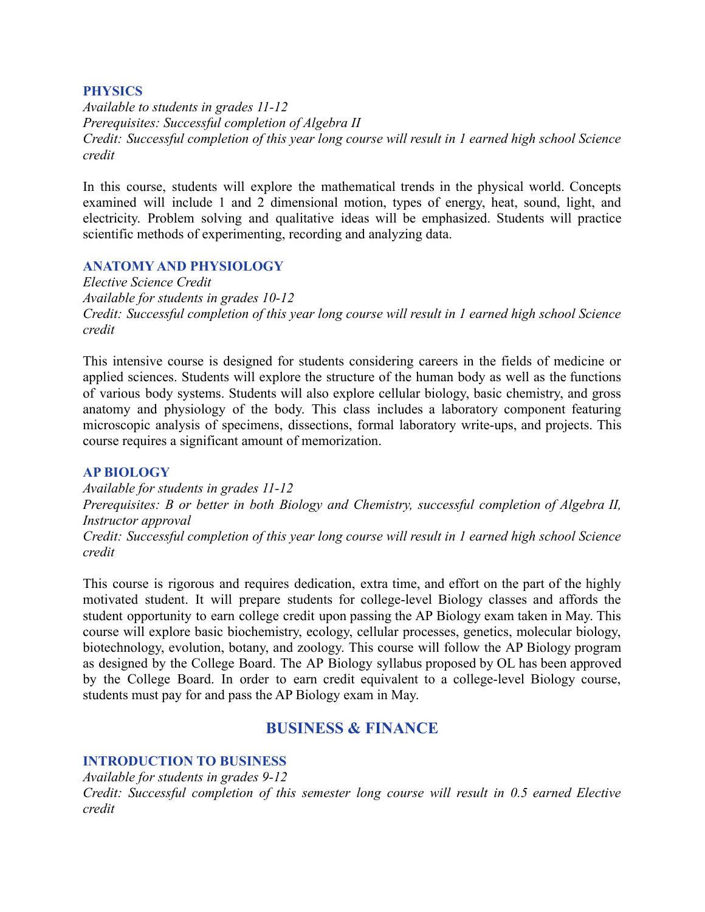### **PHYSICS**

*Available to students in grades 11-12 Prerequisites: Successful completion of Algebra II Credit: Successful completion of this year long course will result in 1 earned high school Science credit*

In this course, students will explore the mathematical trends in the physical world. Concepts examined will include 1 and 2 dimensional motion, types of energy, heat, sound, light, and electricity. Problem solving and qualitative ideas will be emphasized. Students will practice scientific methods of experimenting, recording and analyzing data.

## **ANATOMY AND PHYSIOLOGY**

*Elective Science Credit Available for students in grades 10-12 Credit: Successful completion of this year long course will result in 1 earned high school Science credit*

This intensive course is designed for students considering careers in the fields of medicine or applied sciences. Students will explore the structure of the human body as well as the functions of various body systems. Students will also explore cellular biology, basic chemistry, and gross anatomy and physiology of the body. This class includes a laboratory component featuring microscopic analysis of specimens, dissections, formal laboratory write-ups, and projects. This course requires a significant amount of memorization.

### **AP BIOLOGY**

*Available for students in grades 11-12 Prerequisites: B or better in both Biology and Chemistry, successful completion of Algebra II, Instructor approval Credit: Successful completion of this year long course will result in 1 earned high school Science credit*

This course is rigorous and requires dedication, extra time, and effort on the part of the highly motivated student. It will prepare students for college-level Biology classes and affords the student opportunity to earn college credit upon passing the AP Biology exam taken in May. This course will explore basic biochemistry, ecology, cellular processes, genetics, molecular biology, biotechnology, evolution, botany, and zoology. This course will follow the AP Biology program as designed by the College Board. The AP Biology syllabus proposed by OL has been approved by the College Board. In order to earn credit equivalent to a college-level Biology course, students must pay for and pass the AP Biology exam in May.

# **BUSINESS & FINANCE**

### **INTRODUCTION TO BUSINESS**

*Available for students in grades 9-12*

*Credit: Successful completion of this semester long course will result in 0.5 earned Elective credit*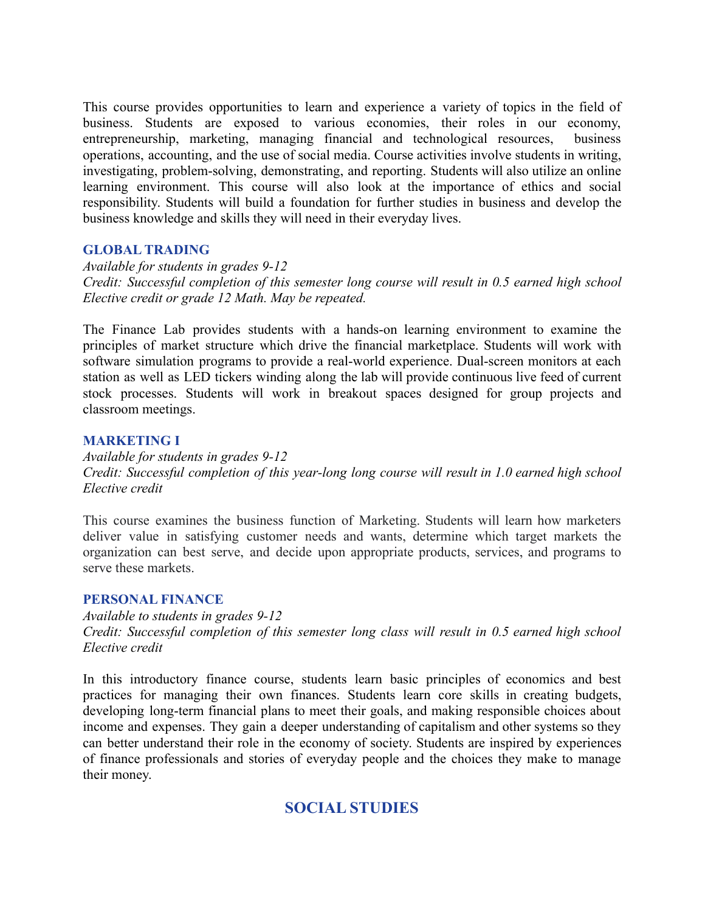This course provides opportunities to learn and experience a variety of topics in the field of business. Students are exposed to various economies, their roles in our economy, entrepreneurship, marketing, managing financial and technological resources, business operations, accounting, and the use of social media. Course activities involve students in writing, investigating, problem-solving, demonstrating, and reporting. Students will also utilize an online learning environment. This course will also look at the importance of ethics and social responsibility. Students will build a foundation for further studies in business and develop the business knowledge and skills they will need in their everyday lives.

## **GLOBAL TRADING**

*Available for students in grades 9-12 Credit: Successful completion of this semester long course will result in 0.5 earned high school Elective credit or grade 12 Math. May be repeated.*

The Finance Lab provides students with a hands-on learning environment to examine the principles of market structure which drive the financial marketplace. Students will work with software simulation programs to provide a real-world experience. Dual-screen monitors at each station as well as LED tickers winding along the lab will provide continuous live feed of current stock processes. Students will work in breakout spaces designed for group projects and classroom meetings.

### **MARKETING I**

*Available for students in grades 9-12 Credit: Successful completion of this year-long long course will result in 1.0 earned high school Elective credit*

This course examines the business function of Marketing. Students will learn how marketers deliver value in satisfying customer needs and wants, determine which target markets the organization can best serve, and decide upon appropriate products, services, and programs to serve these markets.

### **PERSONAL FINANCE**

*Available to students in grades 9-12 Credit: Successful completion of this semester long class will result in 0.5 earned high school Elective credit*

In this introductory finance course, students learn basic principles of economics and best practices for managing their own finances. Students learn core skills in creating budgets, developing long-term financial plans to meet their goals, and making responsible choices about income and expenses. They gain a deeper understanding of capitalism and other systems so they can better understand their role in the economy of society. Students are inspired by experiences of finance professionals and stories of everyday people and the choices they make to manage their money.

# **SOCIAL STUDIES**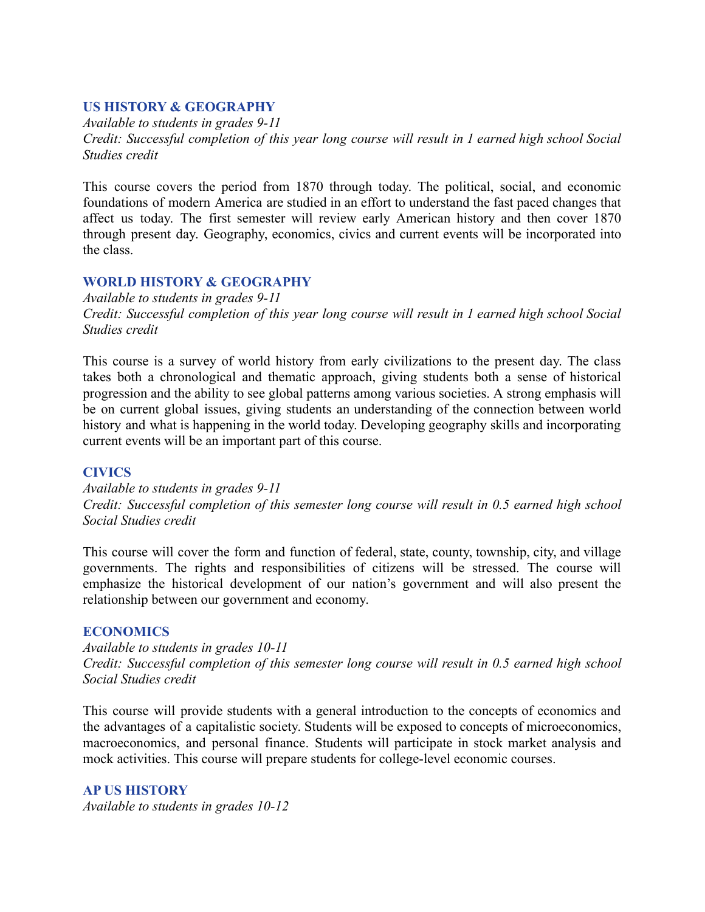### **US HISTORY & GEOGRAPHY**

*Available to students in grades 9-11 Credit: Successful completion of this year long course will result in 1 earned high school Social Studies credit*

This course covers the period from 1870 through today. The political, social, and economic foundations of modern America are studied in an effort to understand the fast paced changes that affect us today. The first semester will review early American history and then cover 1870 through present day. Geography, economics, civics and current events will be incorporated into the class.

## **WORLD HISTORY & GEOGRAPHY**

*Available to students in grades 9-11 Credit: Successful completion of this year long course will result in 1 earned high school Social Studies credit*

This course is a survey of world history from early civilizations to the present day. The class takes both a chronological and thematic approach, giving students both a sense of historical progression and the ability to see global patterns among various societies. A strong emphasis will be on current global issues, giving students an understanding of the connection between world history and what is happening in the world today. Developing geography skills and incorporating current events will be an important part of this course.

### **CIVICS**

*Available to students in grades 9-11 Credit: Successful completion of this semester long course will result in 0.5 earned high school Social Studies credit*

This course will cover the form and function of federal, state, county, township, city, and village governments. The rights and responsibilities of citizens will be stressed. The course will emphasize the historical development of our nation's government and will also present the relationship between our government and economy.

### **ECONOMICS**

*Available to students in grades 10-11 Credit: Successful completion of this semester long course will result in 0.5 earned high school Social Studies credit*

This course will provide students with a general introduction to the concepts of economics and the advantages of a capitalistic society. Students will be exposed to concepts of microeconomics, macroeconomics, and personal finance. Students will participate in stock market analysis and mock activities. This course will prepare students for college-level economic courses.

**AP US HISTORY** *Available to students in grades 10-12*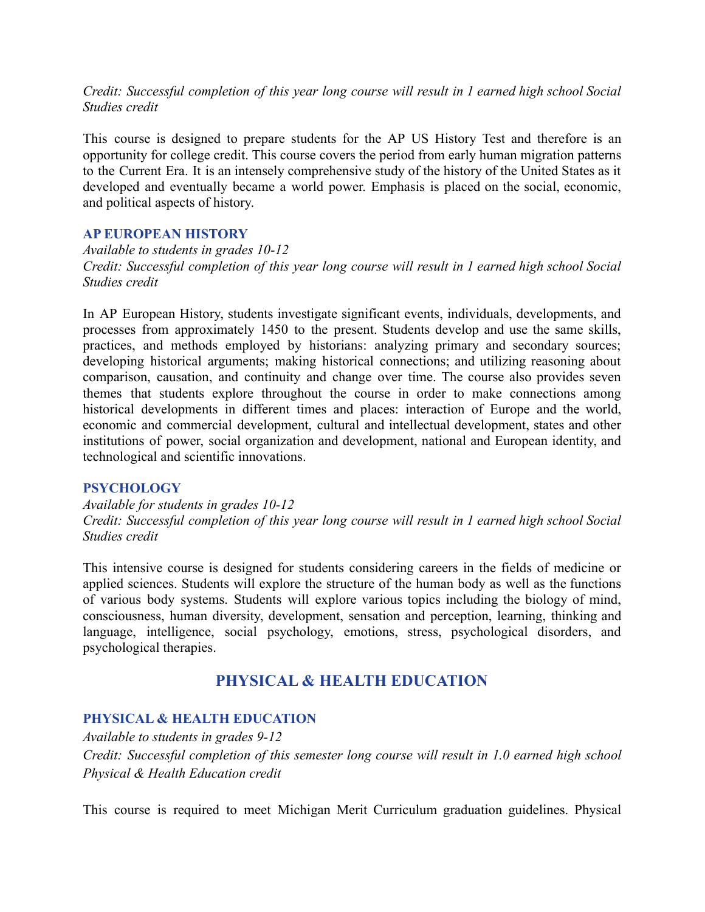*Credit: Successful completion of this year long course will result in 1 earned high school Social Studies credit*

This course is designed to prepare students for the AP US History Test and therefore is an opportunity for college credit. This course covers the period from early human migration patterns to the Current Era. It is an intensely comprehensive study of the history of the United States as it developed and eventually became a world power. Emphasis is placed on the social, economic, and political aspects of history.

### **AP EUROPEAN HISTORY**

*Available to students in grades 10-12 Credit: Successful completion of this year long course will result in 1 earned high school Social Studies credit*

In AP European History, students investigate significant events, individuals, developments, and processes from approximately 1450 to the present. Students develop and use the same skills, practices, and methods employed by historians: analyzing primary and secondary sources; developing historical arguments; making historical connections; and utilizing reasoning about comparison, causation, and continuity and change over time. The course also provides seven themes that students explore throughout the course in order to make connections among historical developments in different times and places: interaction of Europe and the world, economic and commercial development, cultural and intellectual development, states and other institutions of power, social organization and development, national and European identity, and technological and scientific innovations.

### **PSYCHOLOGY**

*Available for students in grades 10-12 Credit: Successful completion of this year long course will result in 1 earned high school Social Studies credit*

This intensive course is designed for students considering careers in the fields of medicine or applied sciences. Students will explore the structure of the human body as well as the functions of various body systems. Students will explore various topics including the biology of mind, consciousness, human diversity, development, sensation and perception, learning, thinking and language, intelligence, social psychology, emotions, stress, psychological disorders, and psychological therapies.

# **PHYSICAL & HEALTH EDUCATION**

### **PHYSICAL & HEALTH EDUCATION**

*Available to students in grades 9-12 Credit: Successful completion of this semester long course will result in 1.0 earned high school Physical & Health Education credit*

This course is required to meet Michigan Merit Curriculum graduation guidelines. Physical